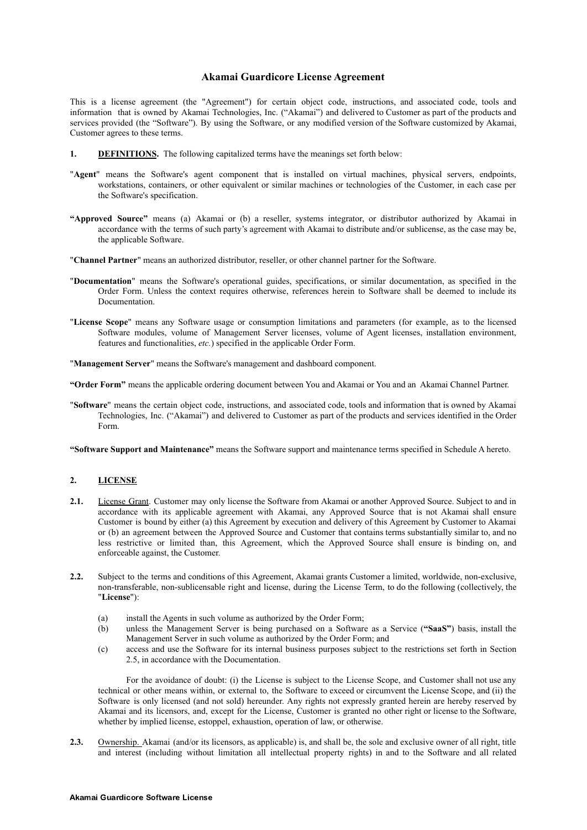## **Akamai Guardicore License Agreement**

This is a license agreement (the "Agreement") for certain object code, instructions, and associated code, tools and information that is owned by Akamai Technologies, Inc. ("Akamai") and delivered to Customer as part of the products and services provided (the "Software"). By using the Software, or any modified version of the Software customized by Akamai, Customer agrees to these terms.

- **1. DEFINITIONS.** The following capitalized terms have the meanings set forth below:
- "**Agent**" means the Software's agent component that is installed on virtual machines, physical servers, endpoints, workstations, containers, or other equivalent or similar machines or technologies of the Customer, in each case per the Software's specification.
- **"Approved Source"** means (a) Akamai or (b) a reseller, systems integrator, or distributor authorized by Akamai in accordance with the terms of such party's agreement with Akamai to distribute and/or sublicense, as the case may be, the applicable Software.
- "**Channel Partner**" means an authorized distributor, reseller, or other channel partner for the Software.
- "**Documentation**" means the Software's operational guides, specifications, or similar documentation, as specified in the Order Form. Unless the context requires otherwise, references herein to Software shall be deemed to include its Documentation.
- "**License Scope**" means any Software usage or consumption limitations and parameters (for example, as to the licensed Software modules, volume of Management Server licenses, volume of Agent licenses, installation environment, features and functionalities, *etc.*) specified in the applicable Order Form.

"**Management Server**" means the Software's management and dashboard component.

**"Order Form"** means the applicable ordering document between You and Akamai or You and an Akamai Channel Partner.

"**Software**" means the certain object code, instructions, and associated code, tools and information that is owned by Akamai Technologies, Inc. ("Akamai") and delivered to Customer as part of the products and services identified in the Order Form.

**"Software Support and Maintenance"** means the Software support and maintenance terms specified in Schedule A hereto.

## **2. LICENSE**

- **2.1.** License Grant. Customer may only license the Software from Akamai or another Approved Source. Subject to and in accordance with its applicable agreement with Akamai, any Approved Source that is not Akamai shall ensure Customer is bound by either (a) this Agreement by execution and delivery of this Agreement by Customer to Akamai or (b) an agreement between the Approved Source and Customer that contains terms substantially similar to, and no less restrictive or limited than, this Agreement, which the Approved Source shall ensure is binding on, and enforceable against, the Customer.
- **2.2.** Subject to the terms and conditions of this Agreement, Akamai grants Customer a limited, worldwide, non-exclusive, non-transferable, non-sublicensable right and license, during the License Term, to do the following (collectively, the "**License**"):
	- (a) install the Agents in such volume as authorized by the Order Form;
	- (b) unless the Management Server is being purchased on a Software as a Service (**"SaaS"**) basis, install the Management Server in such volume as authorized by the Order Form; and
	- (c) access and use the Software for its internal business purposes subject to the restrictions set forth in Section 2.5, in accordance with the Documentation.

For the avoidance of doubt: (i) the License is subject to the License Scope, and Customer shall not use any technical or other means within, or external to, the Software to exceed or circumvent the License Scope, and (ii) the Software is only licensed (and not sold) hereunder. Any rights not expressly granted herein are hereby reserved by Akamai and its licensors, and, except for the License, Customer is granted no other right or license to the Software, whether by implied license, estoppel, exhaustion, operation of law, or otherwise.

**2.3.** Ownership. Akamai (and/or its licensors, as applicable) is, and shall be, the sole and exclusive owner of all right, title and interest (including without limitation all intellectual property rights) in and to the Software and all related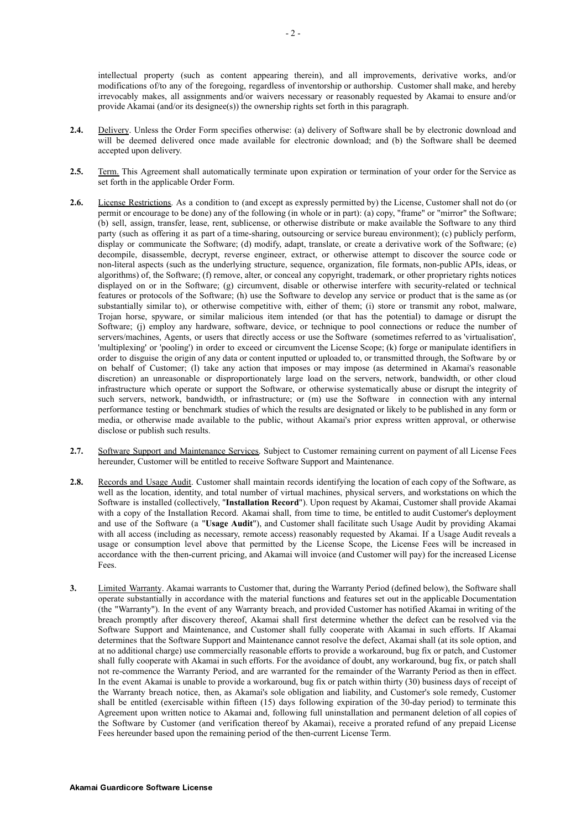intellectual property (such as content appearing therein), and all improvements, derivative works, and/or modifications of/to any of the foregoing, regardless of inventorship or authorship. Customer shall make, and hereby irrevocably makes, all assignments and/or waivers necessary or reasonably requested by Akamai to ensure and/or provide Akamai (and/or its designee(s)) the ownership rights set forth in this paragraph.

- **2.4.** Delivery. Unless the Order Form specifies otherwise: (a) delivery of Software shall be by electronic download and will be deemed delivered once made available for electronic download; and (b) the Software shall be deemed accepted upon delivery.
- **2.5.** Term. This Agreement shall automatically terminate upon expiration or termination of your order for the Service as set forth in the applicable Order Form.
- **2.6.** License Restrictions. As a condition to (and except as expressly permitted by) the License, Customer shall not do (or permit or encourage to be done) any of the following (in whole or in part): (a) copy, "frame" or "mirror" the Software; (b) sell, assign, transfer, lease, rent, sublicense, or otherwise distribute or make available the Software to any third party (such as offering it as part of a time-sharing, outsourcing or service bureau environment); (c) publicly perform, display or communicate the Software; (d) modify, adapt, translate, or create a derivative work of the Software; (e) decompile, disassemble, decrypt, reverse engineer, extract, or otherwise attempt to discover the source code or non-literal aspects (such as the underlying structure, sequence, organization, file formats, non-public APIs, ideas, or algorithms) of, the Software; (f) remove, alter, or conceal any copyright, trademark, or other proprietary rights notices displayed on or in the Software; (g) circumvent, disable or otherwise interfere with security-related or technical features or protocols of the Software; (h) use the Software to develop any service or product that is the same as (or substantially similar to), or otherwise competitive with, either of them; (i) store or transmit any robot, malware, Trojan horse, spyware, or similar malicious item intended (or that has the potential) to damage or disrupt the Software; (i) employ any hardware, software, device, or technique to pool connections or reduce the number of servers/machines, Agents, or users that directly access or use the Software (sometimes referred to as 'virtualisation', 'multiplexing' or 'pooling') in order to exceed or circumvent the License Scope; (k) forge or manipulate identifiers in order to disguise the origin of any data or content inputted or uploaded to, or transmitted through, the Software by or on behalf of Customer; (l) take any action that imposes or may impose (as determined in Akamai's reasonable discretion) an unreasonable or disproportionately large load on the servers, network, bandwidth, or other cloud infrastructure which operate or support the Software, or otherwise systematically abuse or disrupt the integrity of such servers, network, bandwidth, or infrastructure; or (m) use the Software in connection with any internal performance testing or benchmark studies of which the results are designated or likely to be published in any form or media, or otherwise made available to the public, without Akamai's prior express written approval, or otherwise disclose or publish such results.
- **2.7.** Software Support and Maintenance Services. Subject to Customer remaining current on payment of all License Fees hereunder, Customer will be entitled to receive Software Support and Maintenance.
- **2.8.** Records and Usage Audit. Customer shall maintain records identifying the location of each copy of the Software, as well as the location, identity, and total number of virtual machines, physical servers, and workstations on which the Software is installed (collectively, "**Installation Record**"). Upon request by Akamai, Customer shall provide Akamai with a copy of the Installation Record. Akamai shall, from time to time, be entitled to audit Customer's deployment and use of the Software (a "**Usage Audit**"), and Customer shall facilitate such Usage Audit by providing Akamai with all access (including as necessary, remote access) reasonably requested by Akamai. If a Usage Audit reveals a usage or consumption level above that permitted by the License Scope, the License Fees will be increased in accordance with the then-current pricing, and Akamai will invoice (and Customer will pay) for the increased License Fees.
- **3.** Limited Warranty. Akamai warrants to Customer that, during the Warranty Period (defined below), the Software shall operate substantially in accordance with the material functions and features set out in the applicable Documentation (the "Warranty"). In the event of any Warranty breach, and provided Customer has notified Akamai in writing of the breach promptly after discovery thereof, Akamai shall first determine whether the defect can be resolved via the Software Support and Maintenance, and Customer shall fully cooperate with Akamai in such efforts. If Akamai determines that the Software Support and Maintenance cannot resolve the defect, Akamai shall (at its sole option, and at no additional charge) use commercially reasonable efforts to provide a workaround, bug fix or patch, and Customer shall fully cooperate with Akamai in such efforts. For the avoidance of doubt, any workaround, bug fix, or patch shall not re-commence the Warranty Period, and are warranted for the remainder of the Warranty Period as then in effect. In the event Akamai is unable to provide a workaround, bug fix or patch within thirty (30) business days of receipt of the Warranty breach notice, then, as Akamai's sole obligation and liability, and Customer's sole remedy, Customer shall be entitled (exercisable within fifteen (15) days following expiration of the 30-day period) to terminate this Agreement upon written notice to Akamai and, following full uninstallation and permanent deletion of all copies of the Software by Customer (and verification thereof by Akamai), receive a prorated refund of any prepaid License Fees hereunder based upon the remaining period of the then-current License Term.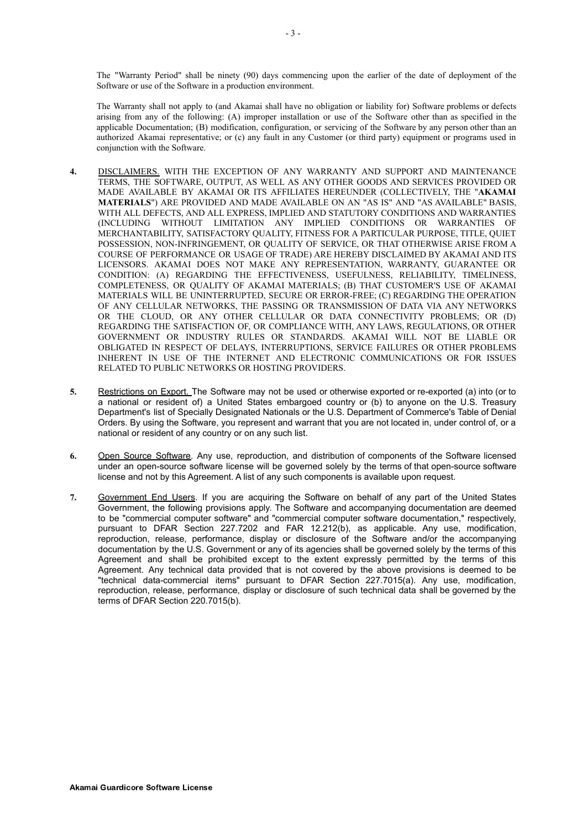The "Warranty Period" shall be ninety (90) days commencing upon the earlier of the date of deployment of the Software or use of the Software in a production environment.

The Warranty shall not apply to (and Akamai shall have no obligation or liability for) Software problems or defects arising from any of the following: (A) improper installation or use of the Software other than as specified in the applicable Documentation; (B) modification, configuration, or servicing of the Software by any person other than an authorized Akamai representative; or (c) any fault in any Customer (or third party) equipment or programs used in conjunction with the Software.

- **4.** DISCLAIMERS. WITH THE EXCEPTION OF ANY WARRANTY AND SUPPORT AND MAINTENANCE TERMS, THE SOFTWARE, OUTPUT, AS WELL AS ANY OTHER GOODS AND SERVICES PROVIDED OR MADE AVAILABLE BY AKAMAI OR ITS AFFILIATES HEREUNDER (COLLECTIVELY, THE "**AKAMAI MATERIALS**") ARE PROVIDED AND MADE AVAILABLE ON AN "AS IS" AND "AS AVAILABLE" BASIS, WITH ALL DEFECTS, AND ALL EXPRESS, IMPLIED AND STATUTORY CONDITIONS AND WARRANTIES (INCLUDING WITHOUT LIMITATION ANY IMPLIED CONDITIONS OR WARRANTIES OF MERCHANTABILITY, SATISFACTORY QUALITY, FITNESS FOR A PARTICULAR PURPOSE, TITLE, QUIET POSSESSION, NON-INFRINGEMENT, OR QUALITY OF SERVICE, OR THAT OTHERWISE ARISE FROM A COURSE OF PERFORMANCE OR USAGE OF TRADE) ARE HEREBY DISCLAIMED BY AKAMAI AND ITS LICENSORS. AKAMAI DOES NOT MAKE ANY REPRESENTATION, WARRANTY, GUARANTEE OR CONDITION: (A) REGARDING THE EFFECTIVENESS, USEFULNESS, RELIABILITY, TIMELINESS, COMPLETENESS, OR QUALITY OF AKAMAI MATERIALS; (B) THAT CUSTOMER'S USE OF AKAMAI MATERIALS WILL BE UNINTERRUPTED, SECURE OR ERROR-FREE; (C) REGARDING THE OPERATION OF ANY CELLULAR NETWORKS, THE PASSING OR TRANSMISSION OF DATA VIA ANY NETWORKS OR THE CLOUD, OR ANY OTHER CELLULAR OR DATA CONNECTIVITY PROBLEMS; OR (D) REGARDING THE SATISFACTION OF, OR COMPLIANCE WITH, ANY LAWS, REGULATIONS, OR OTHER GOVERNMENT OR INDUSTRY RULES OR STANDARDS. AKAMAI WILL NOT BE LIABLE OR OBLIGATED IN RESPECT OF DELAYS, INTERRUPTIONS, SERVICE FAILURES OR OTHER PROBLEMS INHERENT IN USE OF THE INTERNET AND ELECTRONIC COMMUNICATIONS OR FOR ISSUES RELATED TO PUBLIC NETWORKS OR HOSTING PROVIDERS.
- **5.** Restrictions on Export. The Software may not be used or otherwise exported or re-exported (a) into (or to a national or resident of) a United States embargoed country or (b) to anyone on the U.S. Treasury Department's list of Specially Designated Nationals or the U.S. Department of Commerce's Table of Denial Orders. By using the Software, you represent and warrant that you are not located in, under control of, or a national or resident of any country or on any such list.
- **6.** Open Source Software. Any use, reproduction, and distribution of components of the Software licensed under an open-source software license will be governed solely by the terms of that open-source software license and not by this Agreement. A list of any such components is available upon request.
- **7.** Government End Users. If you are acquiring the Software on behalf of any part of the United States Government, the following provisions apply. The Software and accompanying documentation are deemed to be "commercial computer software" and "commercial computer software documentation," respectively, pursuant to DFAR Section 227.7202 and FAR 12.212(b), as applicable. Any use, modification, reproduction, release, performance, display or disclosure of the Software and/or the accompanying documentation by the U.S. Government or any of its agencies shall be governed solely by the terms of this Agreement and shall be prohibited except to the extent expressly permitted by the terms of this Agreement. Any technical data provided that is not covered by the above provisions is deemed to be "technical data-commercial items" pursuant to DFAR Section 227.7015(a). Any use, modification, reproduction, release, performance, display or disclosure of such technical data shall be governed by the terms of DFAR Section 220.7015(b).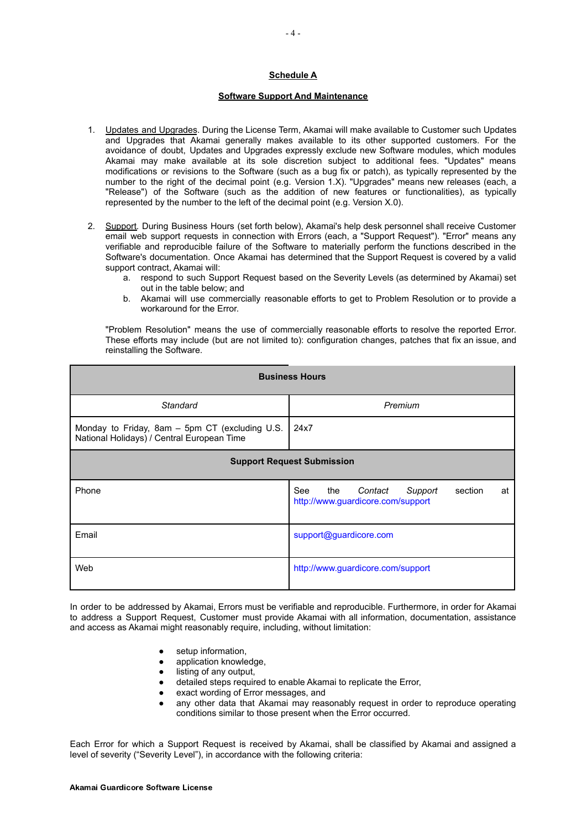## **Schedule A**

## **Software Support And Maintenance**

- 1. Updates and Upgrades. During the License Term, Akamai will make available to Customer such Updates and Upgrades that Akamai generally makes available to its other supported customers. For the avoidance of doubt, Updates and Upgrades expressly exclude new Software modules, which modules Akamai may make available at its sole discretion subject to additional fees. "Updates" means modifications or revisions to the Software (such as a bug fix or patch), as typically represented by the number to the right of the decimal point (e.g. Version 1.X). "Upgrades" means new releases (each, a "Release") of the Software (such as the addition of new features or functionalities), as typically represented by the number to the left of the decimal point (e.g. Version X.0).
- 2. Support. During Business Hours (set forth below), Akamai's help desk personnel shall receive Customer email web support requests in connection with Errors (each, a "Support Request"). "Error" means any verifiable and reproducible failure of the Software to materially perform the functions described in the Software's documentation. Once Akamai has determined that the Support Request is covered by a valid support contract, Akamai will:
	- a. respond to such Support Request based on the Severity Levels (as determined by Akamai) set out in the table below; and
	- b. Akamai will use commercially reasonable efforts to get to Problem Resolution or to provide a workaround for the Error.

"Problem Resolution" means the use of commercially reasonable efforts to resolve the reported Error. These efforts may include (but are not limited to): configuration changes, patches that fix an issue, and reinstalling the Software.

| <b>Business Hours</b>                                                                        |                                                                                        |  |  |  |  |
|----------------------------------------------------------------------------------------------|----------------------------------------------------------------------------------------|--|--|--|--|
| Standard                                                                                     | Premium                                                                                |  |  |  |  |
| Monday to Friday, 8am - 5pm CT (excluding U.S.<br>National Holidays) / Central European Time | 24x7                                                                                   |  |  |  |  |
| <b>Support Request Submission</b>                                                            |                                                                                        |  |  |  |  |
| Phone                                                                                        | See<br>the<br>Contact<br>section<br>Support<br>at<br>http://www.guardicore.com/support |  |  |  |  |
| Email                                                                                        | support@guardicore.com                                                                 |  |  |  |  |
| Web                                                                                          | http://www.guardicore.com/support                                                      |  |  |  |  |

In order to be addressed by Akamai, Errors must be verifiable and reproducible. Furthermore, in order for Akamai to address a Support Request, Customer must provide Akamai with all information, documentation, assistance and access as Akamai might reasonably require, including, without limitation:

- setup information.
- application knowledge.
- listing of any output.
- detailed steps required to enable Akamai to replicate the Error,
- exact wording of Error messages, and
- any other data that Akamai may reasonably request in order to reproduce operating conditions similar to those present when the Error occurred.

Each Error for which a Support Request is received by Akamai, shall be classified by Akamai and assigned a level of severity ("Severity Level"), in accordance with the following criteria: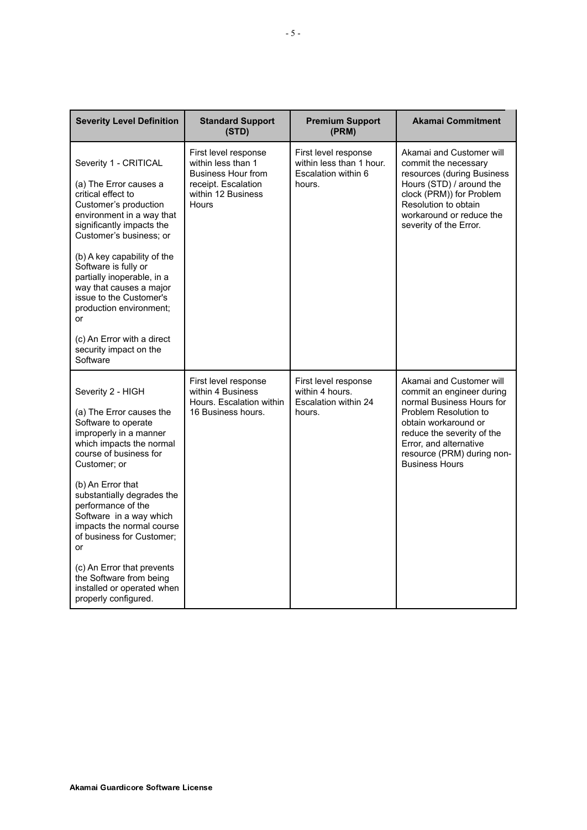| <b>Severity Level Definition</b>                                                                                                                                                                                                                                                                                                                                                                                                | <b>Standard Support</b><br>(STD)                                                                                                     | <b>Premium Support</b><br>(PRM)                                                   | <b>Akamai Commitment</b>                                                                                                                                                                                                                           |
|---------------------------------------------------------------------------------------------------------------------------------------------------------------------------------------------------------------------------------------------------------------------------------------------------------------------------------------------------------------------------------------------------------------------------------|--------------------------------------------------------------------------------------------------------------------------------------|-----------------------------------------------------------------------------------|----------------------------------------------------------------------------------------------------------------------------------------------------------------------------------------------------------------------------------------------------|
| Severity 1 - CRITICAL<br>(a) The Error causes a<br>critical effect to<br>Customer's production<br>environment in a way that<br>significantly impacts the<br>Customer's business; or<br>(b) A key capability of the<br>Software is fully or<br>partially inoperable, in a<br>way that causes a major<br>issue to the Customer's<br>production environment;<br>or                                                                 | First level response<br>within less than 1<br><b>Business Hour from</b><br>receipt. Escalation<br>within 12 Business<br><b>Hours</b> | First level response<br>within less than 1 hour.<br>Escalation within 6<br>hours. | Akamai and Customer will<br>commit the necessary<br>resources (during Business<br>Hours (STD) / around the<br>clock (PRM)) for Problem<br>Resolution to obtain<br>workaround or reduce the<br>severity of the Error.                               |
| (c) An Error with a direct<br>security impact on the<br>Software                                                                                                                                                                                                                                                                                                                                                                |                                                                                                                                      |                                                                                   |                                                                                                                                                                                                                                                    |
| Severity 2 - HIGH<br>(a) The Error causes the<br>Software to operate<br>improperly in a manner<br>which impacts the normal<br>course of business for<br>Customer; or<br>(b) An Error that<br>substantially degrades the<br>performance of the<br>Software in a way which<br>impacts the normal course<br>of business for Customer;<br>or<br>(c) An Error that prevents<br>the Software from being<br>installed or operated when | First level response<br>within 4 Business<br>Hours. Escalation within<br>16 Business hours.                                          | First level response<br>within 4 hours.<br>Escalation within 24<br>hours.         | Akamai and Customer will<br>commit an engineer during<br>normal Business Hours for<br>Problem Resolution to<br>obtain workaround or<br>reduce the severity of the<br>Error, and alternative<br>resource (PRM) during non-<br><b>Business Hours</b> |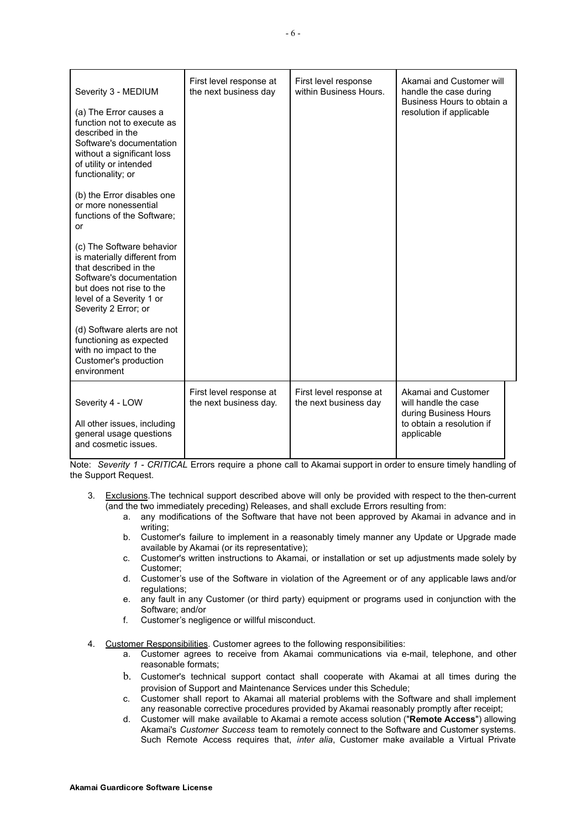| Severity 3 - MEDIUM<br>(a) The Error causes a<br>function not to execute as<br>described in the<br>Software's documentation<br>without a significant loss<br>of utility or intended<br>functionality; or | First level response at<br>the next business day  | First level response<br>within Business Hours.   | Akamai and Customer will<br>handle the case during<br>Business Hours to obtain a<br>resolution if applicable    |
|----------------------------------------------------------------------------------------------------------------------------------------------------------------------------------------------------------|---------------------------------------------------|--------------------------------------------------|-----------------------------------------------------------------------------------------------------------------|
| (b) the Error disables one<br>or more nonessential<br>functions of the Software;<br>or                                                                                                                   |                                                   |                                                  |                                                                                                                 |
| (c) The Software behavior<br>is materially different from<br>that described in the<br>Software's documentation<br>but does not rise to the<br>level of a Severity 1 or<br>Severity 2 Error; or           |                                                   |                                                  |                                                                                                                 |
| (d) Software alerts are not<br>functioning as expected<br>with no impact to the<br>Customer's production<br>environment                                                                                  |                                                   |                                                  |                                                                                                                 |
| Severity 4 - LOW<br>All other issues, including<br>general usage questions<br>and cosmetic issues.                                                                                                       | First level response at<br>the next business day. | First level response at<br>the next business day | Akamai and Customer<br>will handle the case<br>during Business Hours<br>to obtain a resolution if<br>applicable |

Note: *Severity 1 - CRITICAL* Errors require a phone call to Akamai support in order to ensure timely handling of the Support Request.

- 3. Exclusions.The technical support described above will only be provided with respect to the then-current (and the two immediately preceding) Releases, and shall exclude Errors resulting from:
	- a. any modifications of the Software that have not been approved by Akamai in advance and in writing;
	- b. Customer's failure to implement in a reasonably timely manner any Update or Upgrade made available by Akamai (or its representative);
	- c. Customer's written instructions to Akamai, or installation or set up adjustments made solely by Customer;
	- d. Customer's use of the Software in violation of the Agreement or of any applicable laws and/or regulations;
	- e. any fault in any Customer (or third party) equipment or programs used in conjunction with the Software; and/or
	- f. Customer's negligence or willful misconduct.
- 4. Customer Responsibilities. Customer agrees to the following responsibilities:
	- a. Customer agrees to receive from Akamai communications via e-mail, telephone, and other reasonable formats;
	- b. Customer's technical support contact shall cooperate with Akamai at all times during the provision of Support and Maintenance Services under this Schedule;
	- c. Customer shall report to Akamai all material problems with the Software and shall implement any reasonable corrective procedures provided by Akamai reasonably promptly after receipt;
	- d. Customer will make available to Akamai a remote access solution ("**Remote Access**") allowing Akamai's *Customer Success* team to remotely connect to the Software and Customer systems. Such Remote Access requires that, *inter alia*, Customer make available a Virtual Private